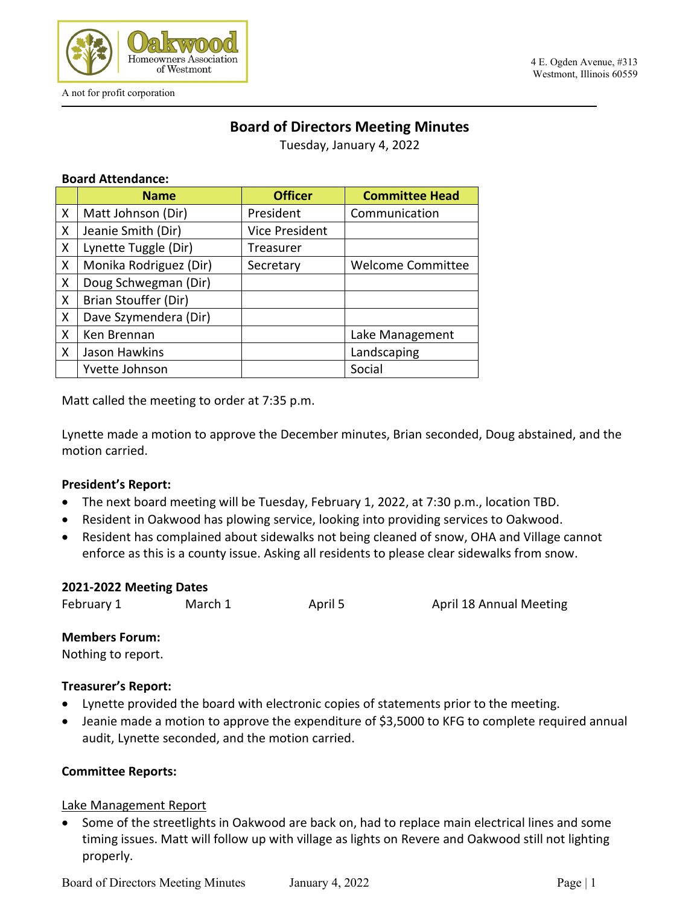

# **Board of Directors Meeting Minutes**

Tuesday, January 4, 2022

#### **Board Attendance:**

|              | <b>Name</b>            | <b>Officer</b> | <b>Committee Head</b>    |
|--------------|------------------------|----------------|--------------------------|
| X            | Matt Johnson (Dir)     | President      | Communication            |
| X            | Jeanie Smith (Dir)     | Vice President |                          |
| X            | Lynette Tuggle (Dir)   | Treasurer      |                          |
| X            | Monika Rodriguez (Dir) | Secretary      | <b>Welcome Committee</b> |
| X            | Doug Schwegman (Dir)   |                |                          |
| $\mathsf{X}$ | Brian Stouffer (Dir)   |                |                          |
| X            | Dave Szymendera (Dir)  |                |                          |
| X            | Ken Brennan            |                | Lake Management          |
| X            | Jason Hawkins          |                | Landscaping              |
|              | Yvette Johnson         |                | Social                   |

Matt called the meeting to order at 7:35 p.m.

Lynette made a motion to approve the December minutes, Brian seconded, Doug abstained, and the motion carried.

### **President's Report:**

- The next board meeting will be Tuesday, February 1, 2022, at 7:30 p.m., location TBD.
- Resident in Oakwood has plowing service, looking into providing services to Oakwood.
- Resident has complained about sidewalks not being cleaned of snow, OHA and Village cannot enforce as this is a county issue. Asking all residents to please clear sidewalks from snow.

| 2021-2022 Meeting Dates |         |         |                                |  |  |
|-------------------------|---------|---------|--------------------------------|--|--|
| February 1              | March 1 | April 5 | <b>April 18 Annual Meeting</b> |  |  |

#### **Members Forum:**

Nothing to report.

### **Treasurer's Report:**

- Lynette provided the board with electronic copies of statements prior to the meeting.
- Jeanie made a motion to approve the expenditure of \$3,5000 to KFG to complete required annual audit, Lynette seconded, and the motion carried.

### **Committee Reports:**

Lake Management Report

• Some of the streetlights in Oakwood are back on, had to replace main electrical lines and some timing issues. Matt will follow up with village as lights on Revere and Oakwood still not lighting properly.